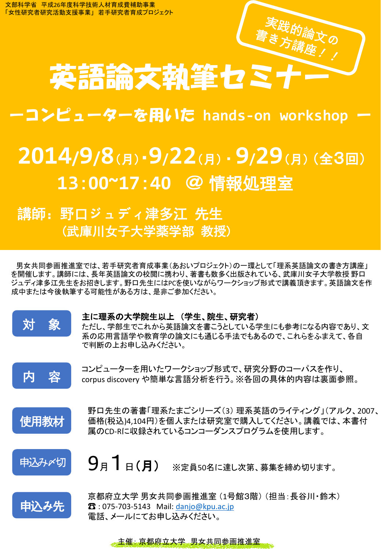英語論文執筆セミナ

## ーコンピューターを用いた **hands-on workshop** ー

## **2014/9/8**(月)・**9/22**(月) ・**9/29**(月) (全3回) **13**:**00~17**:**40** @ 情報処理室

## 講師:野口ジュディ津多江 先生 (武庫川女子大学薬学部 教授)

男女共同参画推進室では、若手研究者育成事業(あおいプロジェクト)の一環として「理系英語論文の書き方講座」 を開催します。講師には、長年英語論文の校閲に携わり、著書も数多く出版されている、武庫川女子大学教授 野口 ジュディ津多江先生をお招きします。野口先生にはPCを使いながらワークショップ形式で講義頂きます。英語論文を作 成中または今後執筆する可能性がある方は、是非ご参加ください。



## 主に理系の大学院生以上 (学生、院生、研究者)

ただし、学部生でこれから英語論文を書こうとしている学生にも参考になる内容であり、文 系の応用言語学や教育学の論文にも通じる手法でもあるので、これらをふまえて、各自 で判断の上お申し込みください。



コンピューターを用いたワークショップ形式で、研究分野のコーパスを作り、 corpus discovery や簡単な言語分析を行う。※各回の具体的内容は裏面参照。



野口先生の著書「理系たまごシリーズ(3) 理系英語のライティング」(アルク、2007、 価格(税込)4,104円)を個人または研究室で購入してください。講義では、本書付 属のCD-Rに収録されているコンコーダンスプログラムを使用します。



9月1日(月) ※定員50名に達し次第、募集を締め切ります。



京都府立大学 男女共同参画推進室 (1号館3階) (担当:長谷川・鈴木) ☎ : 075-703-5143 Mail: [danjo@kpu.ac.jp](mailto:danjo@kpu.ac.jp) 電話、メールにてお申し込みください。

主催: 京都府立大学 男女共同参画推進室